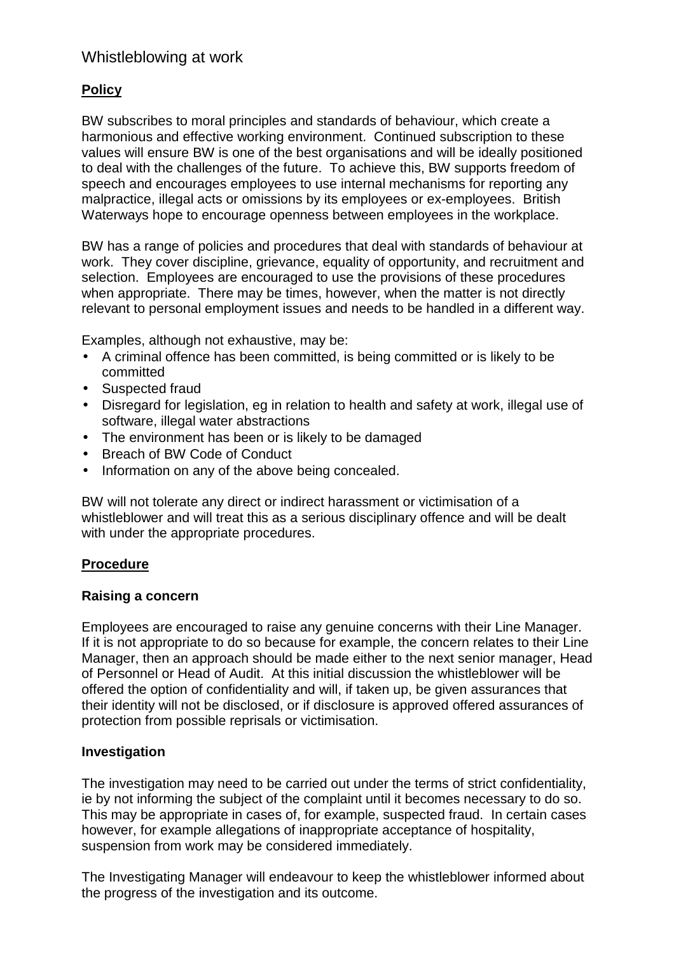# Whistleblowing at work

## **Policy**

BW subscribes to moral principles and standards of behaviour, which create a harmonious and effective working environment. Continued subscription to these values will ensure BW is one of the best organisations and will be ideally positioned to deal with the challenges of the future. To achieve this, BW supports freedom of speech and encourages employees to use internal mechanisms for reporting any malpractice, illegal acts or omissions by its employees or ex-employees. British Waterways hope to encourage openness between employees in the workplace.

BW has a range of policies and procedures that deal with standards of behaviour at work. They cover discipline, grievance, equality of opportunity, and recruitment and selection. Employees are encouraged to use the provisions of these procedures when appropriate. There may be times, however, when the matter is not directly relevant to personal employment issues and needs to be handled in a different way.

Examples, although not exhaustive, may be:

- A criminal offence has been committed, is being committed or is likely to be committed
- Suspected fraud
- Disregard for legislation, eg in relation to health and safety at work, illegal use of software, illegal water abstractions
- The environment has been or is likely to be damaged
- Breach of BW Code of Conduct
- Information on any of the above being concealed.

BW will not tolerate any direct or indirect harassment or victimisation of a whistleblower and will treat this as a serious disciplinary offence and will be dealt with under the appropriate procedures.

## **Procedure**

#### **Raising a concern**

Employees are encouraged to raise any genuine concerns with their Line Manager. If it is not appropriate to do so because for example, the concern relates to their Line Manager, then an approach should be made either to the next senior manager, Head of Personnel or Head of Audit. At this initial discussion the whistleblower will be offered the option of confidentiality and will, if taken up, be given assurances that their identity will not be disclosed, or if disclosure is approved offered assurances of protection from possible reprisals or victimisation.

#### **Investigation**

The investigation may need to be carried out under the terms of strict confidentiality, ie by not informing the subject of the complaint until it becomes necessary to do so. This may be appropriate in cases of, for example, suspected fraud. In certain cases however, for example allegations of inappropriate acceptance of hospitality, suspension from work may be considered immediately.

The Investigating Manager will endeavour to keep the whistleblower informed about the progress of the investigation and its outcome.